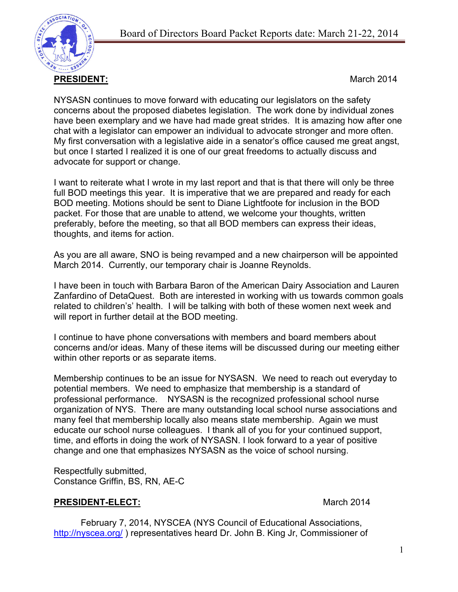

NYSASN continues to move forward with educating our legislators on the safety concerns about the proposed diabetes legislation. The work done by individual zones have been exemplary and we have had made great strides. It is amazing how after one chat with a legislator can empower an individual to advocate stronger and more often. My first conversation with a legislative aide in a senator's office caused me great angst, but once I started I realized it is one of our great freedoms to actually discuss and advocate for support or change.

I want to reiterate what I wrote in my last report and that is that there will only be three full BOD meetings this year. It is imperative that we are prepared and ready for each BOD meeting. Motions should be sent to Diane Lightfoote for inclusion in the BOD packet. For those that are unable to attend, we welcome your thoughts, written preferably, before the meeting, so that all BOD members can express their ideas, thoughts, and items for action.

As you are all aware, SNO is being revamped and a new chairperson will be appointed March 2014. Currently, our temporary chair is Joanne Reynolds.

I have been in touch with Barbara Baron of the American Dairy Association and Lauren Zanfardino of DetaQuest. Both are interested in working with us towards common goals related to children's' health. I will be talking with both of these women next week and will report in further detail at the BOD meeting.

I continue to have phone conversations with members and board members about concerns and/or ideas. Many of these items will be discussed during our meeting either within other reports or as separate items.

Membership continues to be an issue for NYSASN. We need to reach out everyday to potential members. We need to emphasize that membership is a standard of professional performance. NYSASN is the recognized professional school nurse organization of NYS. There are many outstanding local school nurse associations and many feel that membership locally also means state membership. Again we must educate our school nurse colleagues. I thank all of you for your continued support, time, and efforts in doing the work of NYSASN. I look forward to a year of positive change and one that emphasizes NYSASN as the voice of school nursing.

Respectfully submitted, Constance Griffin, BS, RN, AE-C

## **PRESIDENT-ELECT:** March 2014

February 7, 2014, NYSCEA (NYS Council of Educational Associations, http://nyscea.org/) representatives heard Dr. John B. King Jr, Commissioner of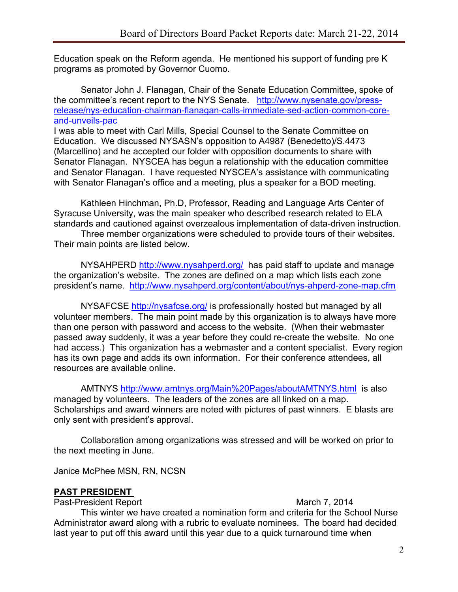Education speak on the Reform agenda. He mentioned his support of funding pre K programs as promoted by Governor Cuomo.

Senator John J. Flanagan, Chair of the Senate Education Committee, spoke of the committee's recent report to the NYS Senate. http://www.nysenate.gov/pressrelease/nys-education-chairman-flanagan-calls-immediate-sed-action-common-coreand-unveils-pac

I was able to meet with Carl Mills, Special Counsel to the Senate Committee on Education. We discussed NYSASN's opposition to A4987 (Benedetto)/S.4473 (Marcellino) and he accepted our folder with opposition documents to share with Senator Flanagan. NYSCEA has begun a relationship with the education committee and Senator Flanagan. I have requested NYSCEA's assistance with communicating with Senator Flanagan's office and a meeting, plus a speaker for a BOD meeting.

Kathleen Hinchman, Ph.D, Professor, Reading and Language Arts Center of Syracuse University, was the main speaker who described research related to ELA standards and cautioned against overzealous implementation of data-driven instruction.

Three member organizations were scheduled to provide tours of their websites. Their main points are listed below.

NYSAHPERD http://www.nysahperd.org/ has paid staff to update and manage the organization's website. The zones are defined on a map which lists each zone president's name. http://www.nysahperd.org/content/about/nys-ahperd-zone-map.cfm

NYSAFCSE http://nysafcse.org/ is professionally hosted but managed by all volunteer members. The main point made by this organization is to always have more than one person with password and access to the website. (When their webmaster passed away suddenly, it was a year before they could re-create the website. No one had access.) This organization has a webmaster and a content specialist. Every region has its own page and adds its own information. For their conference attendees, all resources are available online.

AMTNYS http://www.amtnys.org/Main%20Pages/aboutAMTNYS.html is also managed by volunteers. The leaders of the zones are all linked on a map. Scholarships and award winners are noted with pictures of past winners. E blasts are only sent with president's approval.

Collaboration among organizations was stressed and will be worked on prior to the next meeting in June.

Janice McPhee MSN, RN, NCSN

#### **PAST PRESIDENT**

Past-President Report **March 7, 2014** 

This winter we have created a nomination form and criteria for the School Nurse Administrator award along with a rubric to evaluate nominees. The board had decided last year to put off this award until this year due to a quick turnaround time when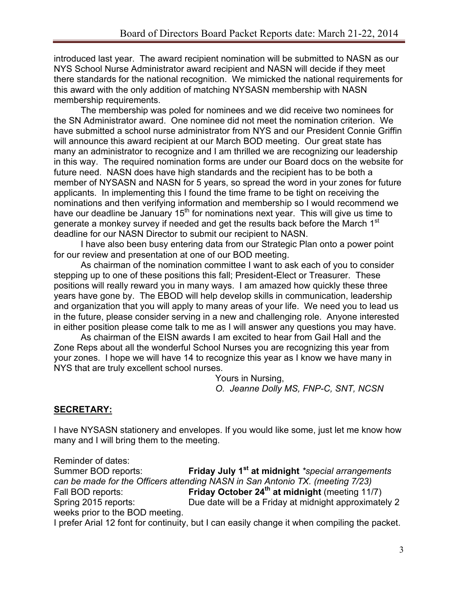introduced last year. The award recipient nomination will be submitted to NASN as our NYS School Nurse Administrator award recipient and NASN will decide if they meet there standards for the national recognition. We mimicked the national requirements for this award with the only addition of matching NYSASN membership with NASN membership requirements.

The membership was poled for nominees and we did receive two nominees for the SN Administrator award. One nominee did not meet the nomination criterion. We have submitted a school nurse administrator from NYS and our President Connie Griffin will announce this award recipient at our March BOD meeting. Our great state has many an administrator to recognize and I am thrilled we are recognizing our leadership in this way. The required nomination forms are under our Board docs on the website for future need. NASN does have high standards and the recipient has to be both a member of NYSASN and NASN for 5 years, so spread the word in your zones for future applicants. In implementing this I found the time frame to be tight on receiving the nominations and then verifying information and membership so I would recommend we have our deadline be January  $15<sup>th</sup>$  for nominations next year. This will give us time to generate a monkey survey if needed and get the results back before the March 1<sup>st</sup> deadline for our NASN Director to submit our recipient to NASN.

I have also been busy entering data from our Strategic Plan onto a power point for our review and presentation at one of our BOD meeting.

As chairman of the nomination committee I want to ask each of you to consider stepping up to one of these positions this fall; President-Elect or Treasurer. These positions will really reward you in many ways. I am amazed how quickly these three years have gone by. The EBOD will help develop skills in communication, leadership and organization that you will apply to many areas of your life. We need you to lead us in the future, please consider serving in a new and challenging role. Anyone interested in either position please come talk to me as I will answer any questions you may have.

As chairman of the EISN awards I am excited to hear from Gail Hall and the Zone Reps about all the wonderful School Nurses you are recognizing this year from your zones. I hope we will have 14 to recognize this year as I know we have many in NYS that are truly excellent school nurses.

Yours in Nursing, *O. Jeanne Dolly MS, FNP-C, SNT, NCSN*

## **SECRETARY:**

I have NYSASN stationery and envelopes. If you would like some, just let me know how many and I will bring them to the meeting.

Reminder of dates: Summer BOD reports: **Friday July 1st at midnight** *\*special arrangements can be made for the Officers attending NASN in San Antonio TX. (meeting 7/23)* Fall BOD reports: **Friday October 24th at midnight** (meeting 11/7) Spring 2015 reports: Due date will be a Friday at midnight approximately 2 weeks prior to the BOD meeting. I prefer Arial 12 font for continuity, but I can easily change it when compiling the packet.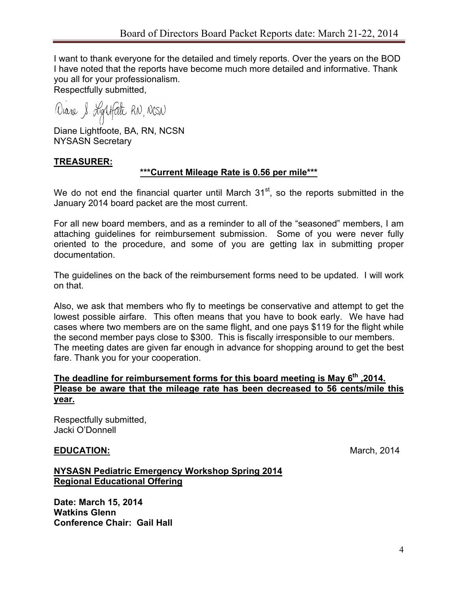I want to thank everyone for the detailed and timely reports. Over the years on the BOD I have noted that the reports have become much more detailed and informative. Thank you all for your professionalism.

Respectfully submitted,

Diane & Lightfathe RN, NCSN

Diane Lightfoote, BA, RN, NCSN NYSASN Secretary

#### **TREASURER:**

#### **\*\*\*Current Mileage Rate is 0.56 per mile\*\*\***

We do not end the financial quarter until March  $31<sup>st</sup>$ , so the reports submitted in the January 2014 board packet are the most current.

For all new board members, and as a reminder to all of the "seasoned" members, I am attaching guidelines for reimbursement submission. Some of you were never fully oriented to the procedure, and some of you are getting lax in submitting proper documentation.

The guidelines on the back of the reimbursement forms need to be updated. I will work on that.

Also, we ask that members who fly to meetings be conservative and attempt to get the lowest possible airfare. This often means that you have to book early. We have had cases where two members are on the same flight, and one pays \$119 for the flight while the second member pays close to \$300. This is fiscally irresponsible to our members. The meeting dates are given far enough in advance for shopping around to get the best fare. Thank you for your cooperation.

#### **The deadline for reimbursement forms for this board meeting is May 6th ,2014. Please be aware that the mileage rate has been decreased to 56 cents/mile this year.**

Respectfully submitted, Jacki O'Donnell

#### **EDUCATION:** March, 2014

#### **NYSASN Pediatric Emergency Workshop Spring 2014 Regional Educational Offering**

**Date: March 15, 2014 Watkins Glenn Conference Chair: Gail Hall**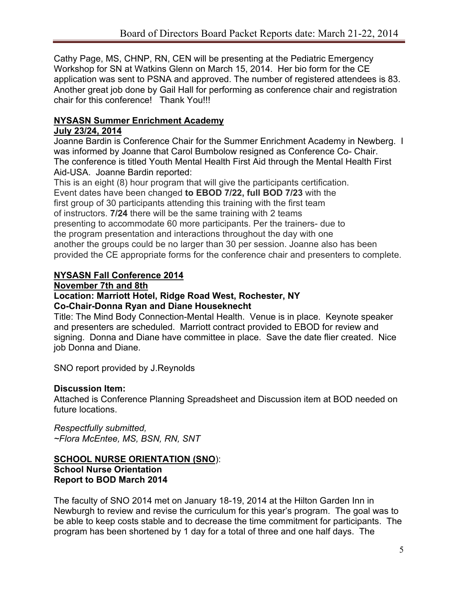Cathy Page, MS, CHNP, RN, CEN will be presenting at the Pediatric Emergency Workshop for SN at Watkins Glenn on March 15, 2014. Her bio form for the CE application was sent to PSNA and approved. The number of registered attendees is 83. Another great job done by Gail Hall for performing as conference chair and registration chair for this conference! Thank You!!!

# **NYSASN Summer Enrichment Academy**

#### **July 23/24, 2014**

Joanne Bardin is Conference Chair for the Summer Enrichment Academy in Newberg. I was informed by Joanne that Carol Bumbolow resigned as Conference Co- Chair. The conference is titled Youth Mental Health First Aid through the Mental Health First Aid-USA. Joanne Bardin reported:

This is an eight (8) hour program that will give the participants certification. Event dates have been changed **to EBOD 7/22, full BOD 7/23** with the first group of 30 participants attending this training with the first team of instructors. **7/24** there will be the same training with 2 teams presenting to accommodate 60 more participants. Per the trainers- due to the program presentation and interactions throughout the day with one another the groups could be no larger than 30 per session. Joanne also has been provided the CE appropriate forms for the conference chair and presenters to complete.

## **NYSASN Fall Conference 2014**

#### **November 7th and 8th**

#### **Location: Marriott Hotel, Ridge Road West, Rochester, NY Co-Chair-Donna Ryan and Diane Houseknecht**

Title: The Mind Body Connection-Mental Health. Venue is in place. Keynote speaker and presenters are scheduled. Marriott contract provided to EBOD for review and signing. Donna and Diane have committee in place. Save the date flier created. Nice job Donna and Diane.

SNO report provided by J.Reynolds

# **Discussion Item:**

Attached is Conference Planning Spreadsheet and Discussion item at BOD needed on future locations.

*Respectfully submitted, ~Flora McEntee, MS, BSN, RN, SNT*

#### **SCHOOL NURSE ORIENTATION (SNO**): **School Nurse Orientation Report to BOD March 2014**

The faculty of SNO 2014 met on January 18-19, 2014 at the Hilton Garden Inn in Newburgh to review and revise the curriculum for this year's program. The goal was to be able to keep costs stable and to decrease the time commitment for participants. The program has been shortened by 1 day for a total of three and one half days. The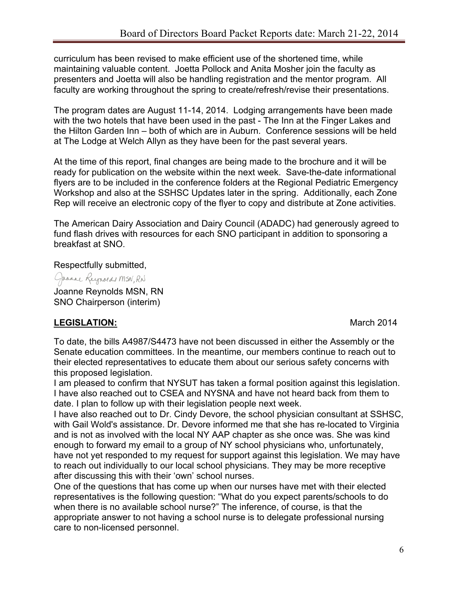curriculum has been revised to make efficient use of the shortened time, while maintaining valuable content. Joetta Pollock and Anita Mosher join the faculty as presenters and Joetta will also be handling registration and the mentor program. All faculty are working throughout the spring to create/refresh/revise their presentations.

The program dates are August 11-14, 2014. Lodging arrangements have been made with the two hotels that have been used in the past - The Inn at the Finger Lakes and the Hilton Garden Inn – both of which are in Auburn. Conference sessions will be held at The Lodge at Welch Allyn as they have been for the past several years.

At the time of this report, final changes are being made to the brochure and it will be ready for publication on the website within the next week. Save-the-date informational flyers are to be included in the conference folders at the Regional Pediatric Emergency Workshop and also at the SSHSC Updates later in the spring. Additionally, each Zone Rep will receive an electronic copy of the flyer to copy and distribute at Zone activities.

The American Dairy Association and Dairy Council (ADADC) had generously agreed to fund flash drives with resources for each SNO participant in addition to sponsoring a breakfast at SNO.

Respectfully submitted,

Jaanne Reynolds MSN, RN

Joanne Reynolds MSN, RN SNO Chairperson (interim)

# **LEGISLATION:** March 2014

To date, the bills A4987/S4473 have not been discussed in either the Assembly or the Senate education committees. In the meantime, our members continue to reach out to their elected representatives to educate them about our serious safety concerns with this proposed legislation.

I am pleased to confirm that NYSUT has taken a formal position against this legislation. I have also reached out to CSEA and NYSNA and have not heard back from them to date. I plan to follow up with their legislation people next week.

I have also reached out to Dr. Cindy Devore, the school physician consultant at SSHSC, with Gail Wold's assistance. Dr. Devore informed me that she has re-located to Virginia and is not as involved with the local NY AAP chapter as she once was. She was kind enough to forward my email to a group of NY school physicians who, unfortunately, have not yet responded to my request for support against this legislation. We may have to reach out individually to our local school physicians. They may be more receptive after discussing this with their 'own' school nurses.

One of the questions that has come up when our nurses have met with their elected representatives is the following question: "What do you expect parents/schools to do when there is no available school nurse?" The inference, of course, is that the appropriate answer to not having a school nurse is to delegate professional nursing care to non-licensed personnel.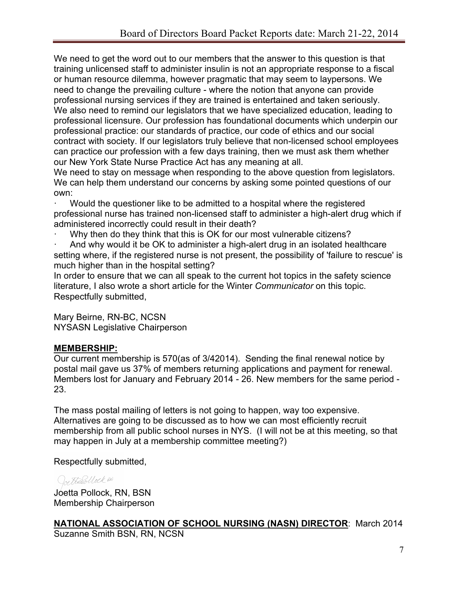We need to get the word out to our members that the answer to this question is that training unlicensed staff to administer insulin is not an appropriate response to a fiscal or human resource dilemma, however pragmatic that may seem to laypersons. We need to change the prevailing culture - where the notion that anyone can provide professional nursing services if they are trained is entertained and taken seriously. We also need to remind our legislators that we have specialized education, leading to professional licensure. Our profession has foundational documents which underpin our professional practice: our standards of practice, our code of ethics and our social contract with society. If our legislators truly believe that non-licensed school employees can practice our profession with a few days training, then we must ask them whether our New York State Nurse Practice Act has any meaning at all.

We need to stay on message when responding to the above question from legislators. We can help them understand our concerns by asking some pointed questions of our own:

· Would the questioner like to be admitted to a hospital where the registered professional nurse has trained non-licensed staff to administer a high-alert drug which if administered incorrectly could result in their death?

Why then do they think that this is OK for our most vulnerable citizens?

And why would it be OK to administer a high-alert drug in an isolated healthcare setting where, if the registered nurse is not present, the possibility of 'failure to rescue' is much higher than in the hospital setting?

In order to ensure that we can all speak to the current hot topics in the safety science literature, I also wrote a short article for the Winter *Communicator* on this topic. Respectfully submitted,

Mary Beirne, RN-BC, NCSN NYSASN Legislative Chairperson

# **MEMBERSHIP:**

Our current membership is 570(as of 3/42014). Sending the final renewal notice by postal mail gave us 37% of members returning applications and payment for renewal. Members lost for January and February 2014 - 26. New members for the same period - 23.

The mass postal mailing of letters is not going to happen, way too expensive. Alternatives are going to be discussed as to how we can most efficiently recruit membership from all public school nurses in NYS. (I will not be at this meeting, so that may happen in July at a membership committee meeting?)

Respectfully submitted,

# Ore Harbollock en

Joetta Pollock, RN, BSN Membership Chairperson

```
NATIONAL ASSOCIATION OF SCHOOL NURSING (NASN) DIRECTOR: March 2014
Suzanne Smith BSN, RN, NCSN
```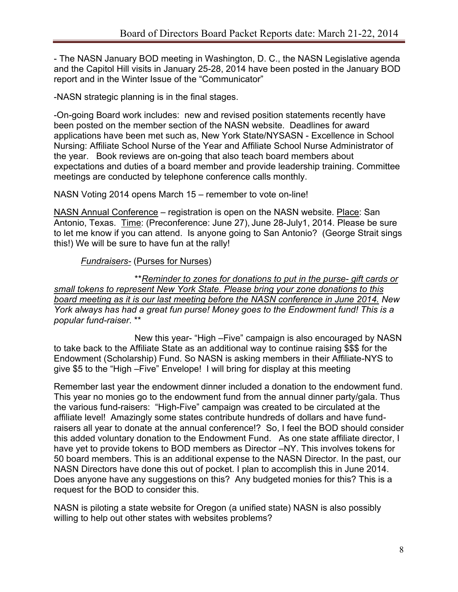- The NASN January BOD meeting in Washington, D. C., the NASN Legislative agenda and the Capitol Hill visits in January 25-28, 2014 have been posted in the January BOD report and in the Winter Issue of the "Communicator"

-NASN strategic planning is in the final stages.

-On-going Board work includes: new and revised position statements recently have been posted on the member section of the NASN website. Deadlines for award applications have been met such as, New York State/NYSASN - Excellence in School Nursing: Affiliate School Nurse of the Year and Affiliate School Nurse Administrator of the year. Book reviews are on-going that also teach board members about expectations and duties of a board member and provide leadership training. Committee meetings are conducted by telephone conference calls monthly.

NASN Voting 2014 opens March 15 – remember to vote on-line!

NASN Annual Conference – registration is open on the NASN website. Place: San Antonio, Texas. Time: (Preconference: June 27), June 28-July1, 2014. Please be sure to let me know if you can attend. Is anyone going to San Antonio? (George Strait sings this!) We will be sure to have fun at the rally!

# *Fundraisers-* (Purses for Nurses)

\*\**Reminder to zones for donations to put in the purse- gift cards or small tokens to represent New York State. Please bring your zone donations to this board meeting as it is our last meeting before the NASN conference in June 2014. New York always has had a great fun purse! Money goes to the Endowment fund! This is a popular fund-raiser*. \*\*

New this year- "High –Five" campaign is also encouraged by NASN to take back to the Affiliate State as an additional way to continue raising \$\$\$ for the Endowment (Scholarship) Fund. So NASN is asking members in their Affiliate-NYS to give \$5 to the "High –Five" Envelope! I will bring for display at this meeting

Remember last year the endowment dinner included a donation to the endowment fund. This year no monies go to the endowment fund from the annual dinner party/gala. Thus the various fund-raisers: "High-Five" campaign was created to be circulated at the affiliate level! Amazingly some states contribute hundreds of dollars and have fundraisers all year to donate at the annual conference!? So, I feel the BOD should consider this added voluntary donation to the Endowment Fund. As one state affiliate director, I have yet to provide tokens to BOD members as Director –NY. This involves tokens for 50 board members. This is an additional expense to the NASN Director. In the past, our NASN Directors have done this out of pocket. I plan to accomplish this in June 2014. Does anyone have any suggestions on this? Any budgeted monies for this? This is a request for the BOD to consider this.

NASN is piloting a state website for Oregon (a unified state) NASN is also possibly willing to help out other states with websites problems?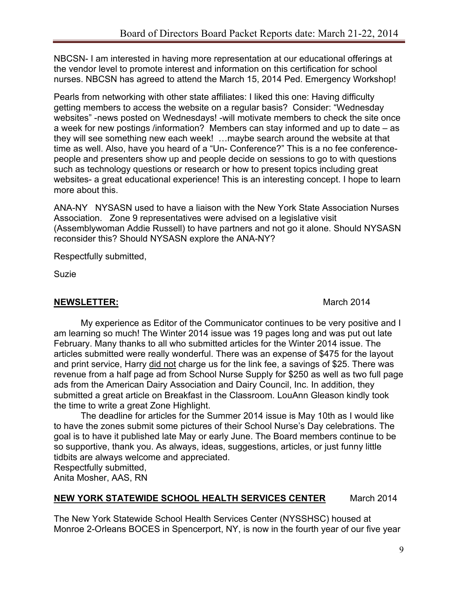NBCSN- I am interested in having more representation at our educational offerings at the vendor level to promote interest and information on this certification for school nurses. NBCSN has agreed to attend the March 15, 2014 Ped. Emergency Workshop!

Pearls from networking with other state affiliates: I liked this one: Having difficulty getting members to access the website on a regular basis? Consider: "Wednesday websites" -news posted on Wednesdays! -will motivate members to check the site once a week for new postings /information? Members can stay informed and up to date – as they will see something new each week! …maybe search around the website at that time as well. Also, have you heard of a "Un- Conference?" This is a no fee conferencepeople and presenters show up and people decide on sessions to go to with questions such as technology questions or research or how to present topics including great websites- a great educational experience! This is an interesting concept. I hope to learn more about this.

ANA-NY NYSASN used to have a liaison with the New York State Association Nurses Association. Zone 9 representatives were advised on a legislative visit (Assemblywoman Addie Russell) to have partners and not go it alone. Should NYSASN reconsider this? Should NYSASN explore the ANA-NY?

Respectfully submitted,

Suzie

## **NEWSLETTER:** March 2014

My experience as Editor of the Communicator continues to be very positive and I am learning so much! The Winter 2014 issue was 19 pages long and was put out late February. Many thanks to all who submitted articles for the Winter 2014 issue. The articles submitted were really wonderful. There was an expense of \$475 for the layout and print service, Harry did not charge us for the link fee, a savings of \$25. There was revenue from a half page ad from School Nurse Supply for \$250 as well as two full page ads from the American Dairy Association and Dairy Council, Inc. In addition, they submitted a great article on Breakfast in the Classroom. LouAnn Gleason kindly took the time to write a great Zone Highlight.

The deadline for articles for the Summer 2014 issue is May 10th as I would like to have the zones submit some pictures of their School Nurse's Day celebrations. The goal is to have it published late May or early June. The Board members continue to be so supportive, thank you. As always, ideas, suggestions, articles, or just funny little tidbits are always welcome and appreciated.

Respectfully submitted,

Anita Mosher, AAS, RN

# **NEW YORK STATEWIDE SCHOOL HEALTH SERVICES CENTER** March 2014

The New York Statewide School Health Services Center (NYSSHSC) housed at Monroe 2-Orleans BOCES in Spencerport, NY, is now in the fourth year of our five year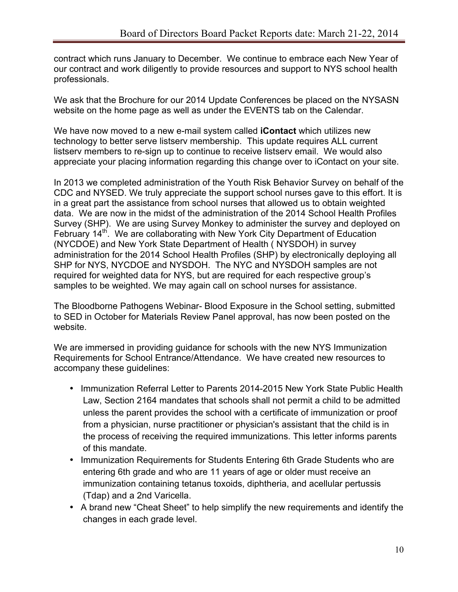contract which runs January to December. We continue to embrace each New Year of our contract and work diligently to provide resources and support to NYS school health professionals.

We ask that the Brochure for our 2014 Update Conferences be placed on the NYSASN website on the home page as well as under the EVENTS tab on the Calendar.

We have now moved to a new e-mail system called **iContact** which utilizes new technology to better serve listserv membership. This update requires ALL current listserv members to re-sign up to continue to receive listserv email. We would also appreciate your placing information regarding this change over to iContact on your site.

In 2013 we completed administration of the Youth Risk Behavior Survey on behalf of the CDC and NYSED. We truly appreciate the support school nurses gave to this effort. It is in a great part the assistance from school nurses that allowed us to obtain weighted data. We are now in the midst of the administration of the 2014 School Health Profiles Survey (SHP). We are using Survey Monkey to administer the survey and deployed on February 14<sup>th</sup>. We are collaborating with New York City Department of Education (NYCDOE) and New York State Department of Health ( NYSDOH) in survey administration for the 2014 School Health Profiles (SHP) by electronically deploying all SHP for NYS, NYCDOE and NYSDOH. The NYC and NYSDOH samples are not required for weighted data for NYS, but are required for each respective group's samples to be weighted. We may again call on school nurses for assistance.

The Bloodborne Pathogens Webinar- Blood Exposure in the School setting, submitted to SED in October for Materials Review Panel approval, has now been posted on the website.

We are immersed in providing guidance for schools with the new NYS Immunization Requirements for School Entrance/Attendance. We have created new resources to accompany these guidelines:

- Immunization Referral Letter to Parents 2014-2015 New York State Public Health Law, Section 2164 mandates that schools shall not permit a child to be admitted unless the parent provides the school with a certificate of immunization or proof from a physician, nurse practitioner or physician's assistant that the child is in the process of receiving the required immunizations. This letter informs parents of this mandate.
- Immunization Requirements for Students Entering 6th Grade Students who are entering 6th grade and who are 11 years of age or older must receive an immunization containing tetanus toxoids, diphtheria, and acellular pertussis (Tdap) and a 2nd Varicella.
- A brand new "Cheat Sheet" to help simplify the new requirements and identify the changes in each grade level.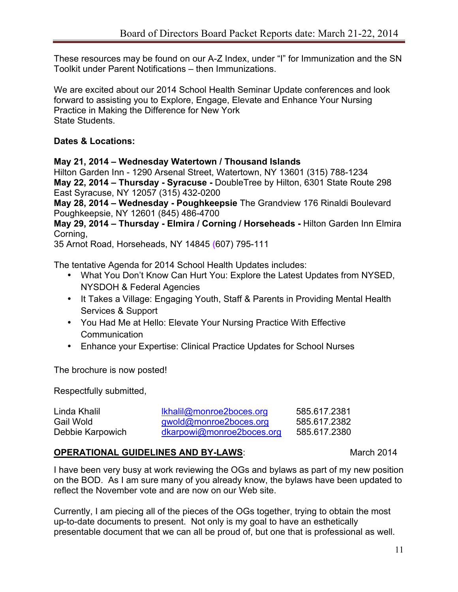These resources may be found on our A-Z Index, under "I" for Immunization and the SN Toolkit under Parent Notifications – then Immunizations.

We are excited about our 2014 School Health Seminar Update conferences and look forward to assisting you to Explore, Engage, Elevate and Enhance Your Nursing Practice in Making the Difference for New York State Students.

## **Dates & Locations:**

#### **May 21, 2014 – Wednesday Watertown / Thousand Islands**

Hilton Garden Inn - 1290 Arsenal Street, Watertown, NY 13601 (315) 788-1234 **May 22, 2014 – Thursday - Syracuse -** DoubleTree by Hilton, 6301 State Route 298 East Syracuse, NY 12057 (315) 432-0200

**May 28, 2014 – Wednesday - Poughkeepsie** The Grandview 176 Rinaldi Boulevard Poughkeepsie, NY 12601 (845) 486-4700

**May 29, 2014 – Thursday - Elmira / Corning / Horseheads -** Hilton Garden Inn Elmira Corning,

35 Arnot Road, Horseheads, NY 14845 **(**607) 795-111

The tentative Agenda for 2014 School Health Updates includes:

- What You Don't Know Can Hurt You: Explore the Latest Updates from NYSED, NYSDOH & Federal Agencies
- It Takes a Village: Engaging Youth, Staff & Parents in Providing Mental Health Services & Support
- You Had Me at Hello: Elevate Your Nursing Practice With Effective **Communication**
- Enhance your Expertise: Clinical Practice Updates for School Nurses

The brochure is now posted!

Respectfully submitted,

| Linda Khalil     | lkhalil@monroe2boces.org  | 585.617.2381 |
|------------------|---------------------------|--------------|
| Gail Wold        | gwold@monroe2boces.org    | 585.617.2382 |
| Debbie Karpowich | dkarpowi@monroe2boces.org | 585.617.2380 |

## **OPERATIONAL GUIDELINES AND BY-LAWS:** March 2014

I have been very busy at work reviewing the OGs and bylaws as part of my new position on the BOD. As I am sure many of you already know, the bylaws have been updated to reflect the November vote and are now on our Web site.

Currently, I am piecing all of the pieces of the OGs together, trying to obtain the most up-to-date documents to present. Not only is my goal to have an esthetically presentable document that we can all be proud of, but one that is professional as well.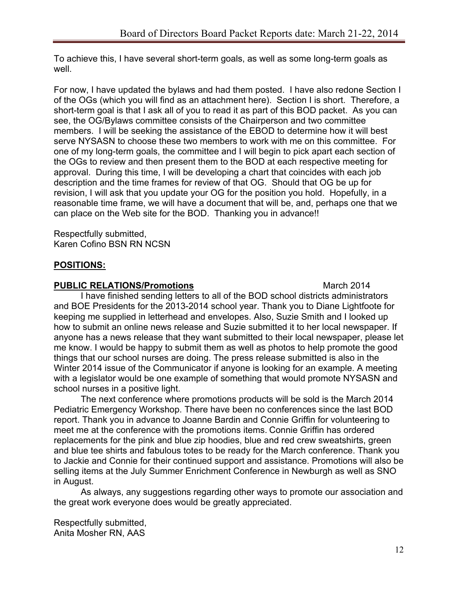To achieve this, I have several short-term goals, as well as some long-term goals as well.

For now, I have updated the bylaws and had them posted. I have also redone Section I of the OGs (which you will find as an attachment here). Section I is short. Therefore, a short-term goal is that I ask all of you to read it as part of this BOD packet. As you can see, the OG/Bylaws committee consists of the Chairperson and two committee members. I will be seeking the assistance of the EBOD to determine how it will best serve NYSASN to choose these two members to work with me on this committee. For one of my long-term goals, the committee and I will begin to pick apart each section of the OGs to review and then present them to the BOD at each respective meeting for approval. During this time, I will be developing a chart that coincides with each job description and the time frames for review of that OG. Should that OG be up for revision, I will ask that you update your OG for the position you hold. Hopefully, in a reasonable time frame, we will have a document that will be, and, perhaps one that we can place on the Web site for the BOD. Thanking you in advance!!

Respectfully submitted, Karen Cofino BSN RN NCSN

#### **POSITIONS:**

#### **PUBLIC RELATIONS/Promotions** March 2014

I have finished sending letters to all of the BOD school districts administrators and BOE Presidents for the 2013-2014 school year. Thank you to Diane Lightfoote for keeping me supplied in letterhead and envelopes. Also, Suzie Smith and I looked up how to submit an online news release and Suzie submitted it to her local newspaper. If anyone has a news release that they want submitted to their local newspaper, please let me know. I would be happy to submit them as well as photos to help promote the good things that our school nurses are doing. The press release submitted is also in the Winter 2014 issue of the Communicator if anyone is looking for an example. A meeting with a legislator would be one example of something that would promote NYSASN and school nurses in a positive light.

The next conference where promotions products will be sold is the March 2014 Pediatric Emergency Workshop. There have been no conferences since the last BOD report. Thank you in advance to Joanne Bardin and Connie Griffin for volunteering to meet me at the conference with the promotions items. Connie Griffin has ordered replacements for the pink and blue zip hoodies, blue and red crew sweatshirts, green and blue tee shirts and fabulous totes to be ready for the March conference. Thank you to Jackie and Connie for their continued support and assistance. Promotions will also be selling items at the July Summer Enrichment Conference in Newburgh as well as SNO in August.

As always, any suggestions regarding other ways to promote our association and the great work everyone does would be greatly appreciated.

Respectfully submitted, Anita Mosher RN, AAS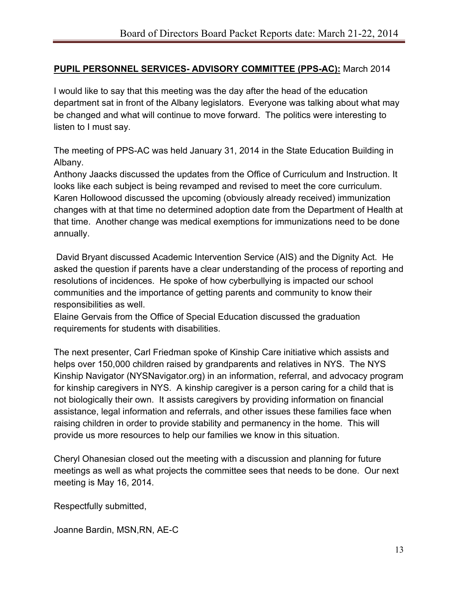## **PUPIL PERSONNEL SERVICES- ADVISORY COMMITTEE (PPS-AC):** March 2014

I would like to say that this meeting was the day after the head of the education department sat in front of the Albany legislators. Everyone was talking about what may be changed and what will continue to move forward. The politics were interesting to listen to I must say.

The meeting of PPS-AC was held January 31, 2014 in the State Education Building in Albany.

Anthony Jaacks discussed the updates from the Office of Curriculum and Instruction. It looks like each subject is being revamped and revised to meet the core curriculum. Karen Hollowood discussed the upcoming (obviously already received) immunization changes with at that time no determined adoption date from the Department of Health at that time. Another change was medical exemptions for immunizations need to be done annually.

 David Bryant discussed Academic Intervention Service (AIS) and the Dignity Act. He asked the question if parents have a clear understanding of the process of reporting and resolutions of incidences. He spoke of how cyberbullying is impacted our school communities and the importance of getting parents and community to know their responsibilities as well.

Elaine Gervais from the Office of Special Education discussed the graduation requirements for students with disabilities.

The next presenter, Carl Friedman spoke of Kinship Care initiative which assists and helps over 150,000 children raised by grandparents and relatives in NYS. The NYS Kinship Navigator (NYSNavigator.org) in an information, referral, and advocacy program for kinship caregivers in NYS. A kinship caregiver is a person caring for a child that is not biologically their own. It assists caregivers by providing information on financial assistance, legal information and referrals, and other issues these families face when raising children in order to provide stability and permanency in the home. This will provide us more resources to help our families we know in this situation.

Cheryl Ohanesian closed out the meeting with a discussion and planning for future meetings as well as what projects the committee sees that needs to be done. Our next meeting is May 16, 2014.

Respectfully submitted,

Joanne Bardin, MSN,RN, AE-C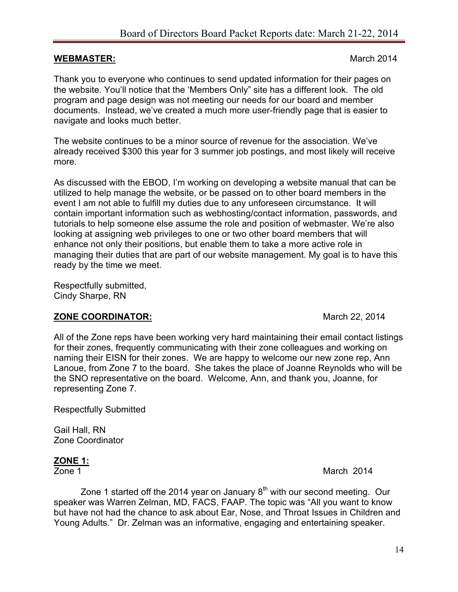#### **WEBMASTER:** March 2014

Thank you to everyone who continues to send updated information for their pages on the website. You'll notice that the 'Members Only" site has a different look. The old program and page design was not meeting our needs for our board and member documents. Instead, we've created a much more user-friendly page that is easier to navigate and looks much better.

The website continues to be a minor source of revenue for the association. We've already received \$300 this year for 3 summer job postings, and most likely will receive more.

As discussed with the EBOD, I'm working on developing a website manual that can be utilized to help manage the website, or be passed on to other board members in the event I am not able to fulfill my duties due to any unforeseen circumstance. It will contain important information such as webhosting/contact information, passwords, and tutorials to help someone else assume the role and position of webmaster. We're also looking at assigning web privileges to one or two other board members that will enhance not only their positions, but enable them to take a more active role in managing their duties that are part of our website management. My goal is to have this ready by the time we meet.

Respectfully submitted, Cindy Sharpe, RN

#### **ZONE COORDINATOR:** March 22, 2014

All of the Zone reps have been working very hard maintaining their email contact listings for their zones, frequently communicating with their zone colleagues and working on naming their EISN for their zones. We are happy to welcome our new zone rep, Ann Lanoue, from Zone 7 to the board. She takes the place of Joanne Reynolds who will be the SNO representative on the board. Welcome, Ann, and thank you, Joanne, for representing Zone 7.

Respectfully Submitted

Gail Hall, RN Zone Coordinator

#### **ZONE 1:**

**Zone 1** March 2014

Zone 1 started off the 2014 year on January  $8<sup>th</sup>$  with our second meeting. Our speaker was Warren Zelman, MD, FACS, FAAP. The topic was "All you want to know but have not had the chance to ask about Ear, Nose, and Throat Issues in Children and Young Adults." Dr. Zelman was an informative, engaging and entertaining speaker.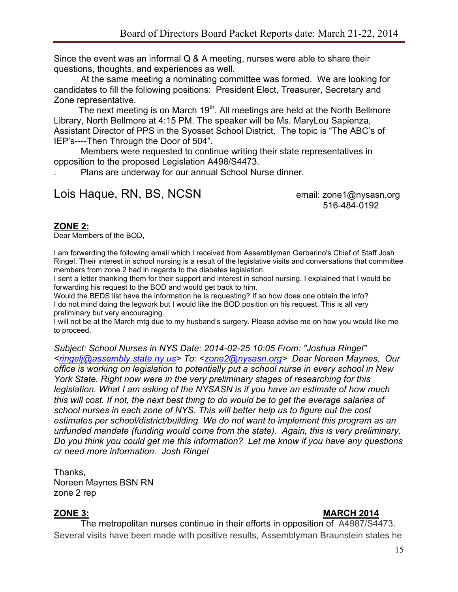Since the event was an informal Q & A meeting, nurses were able to share their questions, thoughts, and experiences as well.

At the same meeting a nominating committee was formed. We are looking for candidates to fill the following positions: President Elect, Treasurer, Secretary and Zone representative.

The next meeting is on March  $19<sup>th</sup>$ . All meetings are held at the North Bellmore Library, North Bellmore at 4:15 PM. The speaker will be Ms. MaryLou Sapienza, Assistant Director of PPS in the Syosset School District. The topic is "The ABC's of IEP's----Then Through the Door of 504".

Members were requested to continue writing their state representatives in opposition to the proposed Legislation A498/S4473.

. Plans are underway for our annual School Nurse dinner.

# Lois Haque, RN, BS, NCSN email: zone1@nysasn.org

516-484-0192

## **ZONE 2:**

Dear Members of the BOD,

I am forwarding the following email which I received from Assemblyman Garbarino's Chief of Staff Josh Ringel. Their interest in school nursing is a result of the legislative visits and conversations that committee members from zone 2 had in regards to the diabetes legislation.

I sent a letter thanking them for their support and interest in school nursing. I explained that I would be forwarding his request to the BOD and would get back to him.

Would the BEDS list have the information he is requesting? If so how does one obtain the info? I do not mind doing the legwork but I would like the BOD position on his request. This is all very preliminary but very encouraging.

I will not be at the March mtg due to my husband's surgery. Please advise me on how you would like me to proceed.

*Subject: School Nurses in NYS Date: 2014-02-25 10:05 From: "Joshua Ringel" <ringelj@assembly.state.ny.us> To: <zone2@nysasn.org> Dear Noreen Maynes, Our office is working on legislation to potentially put a school nurse in every school in New York State. Right now were in the very preliminary stages of researching for this legislation. What I am asking of the NYSASN is if you have an estimate of how much this will cost. If not, the next best thing to do would be to get the average salaries of school nurses in each zone of NYS. This will better help us to figure out the cost estimates per school/district/building. We do not want to implement this program as an unfunded mandate (funding would come from the state). Again, this is very preliminary. Do you think you could get me this information? Let me know if you have any questions or need more information. Josh Ringel*

Thanks, Noreen Maynes BSN RN zone 2 rep

# **ZONE 3: MARCH 2014**

The metropolitan nurses continue in their efforts in opposition of A4987/S4473. Several visits have been made with positive results, Assemblyman Braunstein states he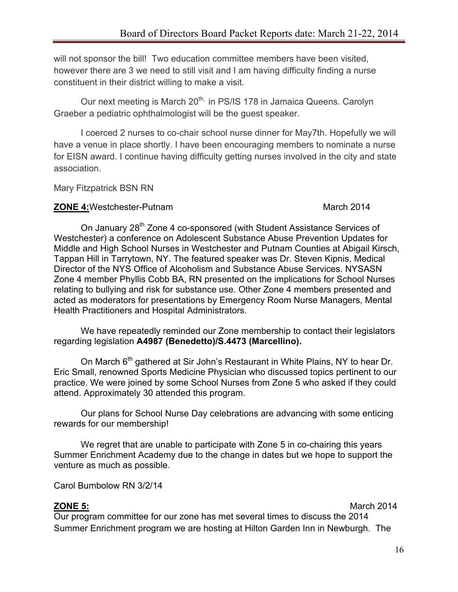will not sponsor the bill! Two education committee members have been visited, however there are 3 we need to still visit and I am having difficulty finding a nurse constituent in their district willing to make a visit.

Our next meeting is March 20<sup>th,</sup> in PS/IS 178 in Jamaica Queens. Carolyn Graeber a pediatric ophthalmologist will be the guest speaker.

I coerced 2 nurses to co-chair school nurse dinner for May7th. Hopefully we will have a venue in place shortly. I have been encouraging members to nominate a nurse for EISN award. I continue having difficulty getting nurses involved in the city and state association.

Mary Fitzpatrick BSN RN

#### **ZONE 4:**Westchester-Putnam March 2014

On January 28<sup>th</sup> Zone 4 co-sponsored (with Student Assistance Services of Westchester) a conference on Adolescent Substance Abuse Prevention Updates for Middle and High School Nurses in Westchester and Putnam Counties at Abigail Kirsch, Tappan Hill in Tarrytown, NY. The featured speaker was Dr. Steven Kipnis, Medical Director of the NYS Office of Alcoholism and Substance Abuse Services. NYSASN Zone 4 member Phyllis Cobb BA, RN presented on the implications for School Nurses relating to bullying and risk for substance use. Other Zone 4 members presented and acted as moderators for presentations by Emergency Room Nurse Managers, Mental Health Practitioners and Hospital Administrators.

We have repeatedly reminded our Zone membership to contact their legislators regarding legislation **A4987 (Benedetto)/S.4473 (Marcellino).**

On March 6<sup>th</sup> gathered at Sir John's Restaurant in White Plains, NY to hear Dr. Eric Small, renowned Sports Medicine Physician who discussed topics pertinent to our practice. We were joined by some School Nurses from Zone 5 who asked if they could attend. Approximately 30 attended this program.

Our plans for School Nurse Day celebrations are advancing with some enticing rewards for our membership!

We regret that are unable to participate with Zone 5 in co-chairing this years Summer Enrichment Academy due to the change in dates but we hope to support the venture as much as possible.

Carol Bumbolow RN 3/2/14

**ZONE 5:** March 2014

Our program committee for our zone has met several times to discuss the 2014 Summer Enrichment program we are hosting at Hilton Garden Inn in Newburgh. The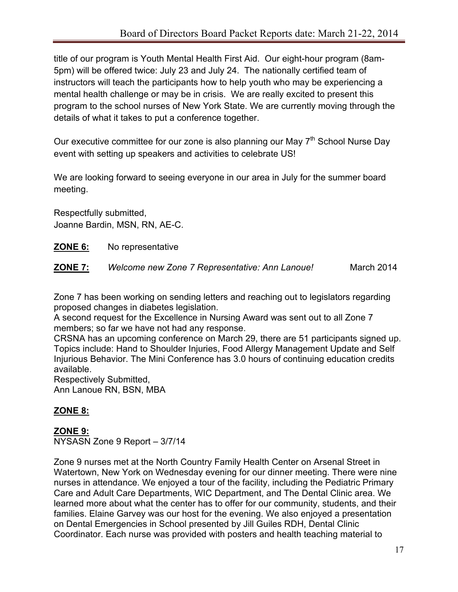title of our program is Youth Mental Health First Aid. Our eight-hour program (8am-5pm) will be offered twice: July 23 and July 24. The nationally certified team of instructors will teach the participants how to help youth who may be experiencing a mental health challenge or may be in crisis. We are really excited to present this program to the school nurses of New York State. We are currently moving through the details of what it takes to put a conference together.

Our executive committee for our zone is also planning our May  $7<sup>th</sup>$  School Nurse Day event with setting up speakers and activities to celebrate US!

We are looking forward to seeing everyone in our area in July for the summer board meeting.

Respectfully submitted, Joanne Bardin, MSN, RN, AE-C.

- **ZONE 6:** No representative
- **ZONE 7:** *Welcome new Zone 7 Representative: Ann Lanoue!* March 2014

Zone 7 has been working on sending letters and reaching out to legislators regarding proposed changes in diabetes legislation.

A second request for the Excellence in Nursing Award was sent out to all Zone 7 members; so far we have not had any response.

CRSNA has an upcoming conference on March 29, there are 51 participants signed up. Topics include: Hand to Shoulder Injuries, Food Allergy Management Update and Self Injurious Behavior. The Mini Conference has 3.0 hours of continuing education credits available.

Respectively Submitted, Ann Lanoue RN, BSN, MBA

# **ZONE 8:**

**ZONE 9:** NYSASN Zone 9 Report – 3/7/14

Zone 9 nurses met at the North Country Family Health Center on Arsenal Street in Watertown, New York on Wednesday evening for our dinner meeting. There were nine nurses in attendance. We enjoyed a tour of the facility, including the Pediatric Primary Care and Adult Care Departments, WIC Department, and The Dental Clinic area. We learned more about what the center has to offer for our community, students, and their families. Elaine Garvey was our host for the evening. We also enjoyed a presentation on Dental Emergencies in School presented by Jill Guiles RDH, Dental Clinic Coordinator. Each nurse was provided with posters and health teaching material to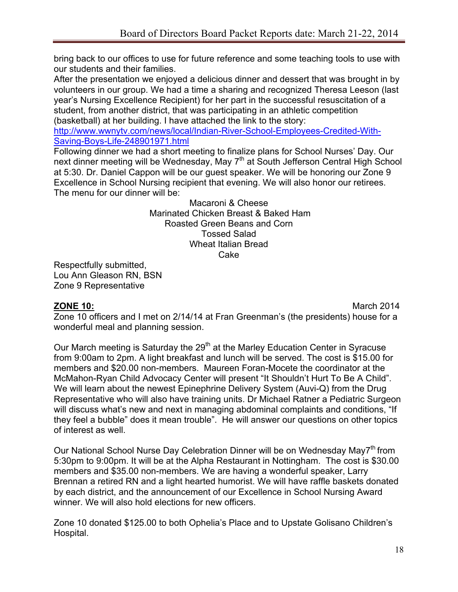bring back to our offices to use for future reference and some teaching tools to use with our students and their families.

After the presentation we enjoyed a delicious dinner and dessert that was brought in by volunteers in our group. We had a time a sharing and recognized Theresa Leeson (last year's Nursing Excellence Recipient) for her part in the successful resuscitation of a student, from another district, that was participating in an athletic competition (basketball) at her building. I have attached the link to the story:

http://www.wwnytv.com/news/local/Indian-River-School-Employees-Credited-With-Saving-Boys-Life-248901971.html

Following dinner we had a short meeting to finalize plans for School Nurses' Day. Our next dinner meeting will be Wednesday, May 7<sup>th</sup> at South Jefferson Central High School at 5:30. Dr. Daniel Cappon will be our guest speaker. We will be honoring our Zone 9 Excellence in School Nursing recipient that evening. We will also honor our retirees. The menu for our dinner will be:

> Macaroni & Cheese Marinated Chicken Breast & Baked Ham Roasted Green Beans and Corn Tossed Salad Wheat Italian Bread Cake

Respectfully submitted, Lou Ann Gleason RN, BSN Zone 9 Representative

**ZONE 10:** March 2014 Zone 10 officers and I met on 2/14/14 at Fran Greenman's (the presidents) house for a wonderful meal and planning session.

Our March meeting is Saturday the 29<sup>th</sup> at the Marley Education Center in Syracuse from 9:00am to 2pm. A light breakfast and lunch will be served. The cost is \$15.00 for members and \$20.00 non-members. Maureen Foran-Mocete the coordinator at the McMahon-Ryan Child Advocacy Center will present "It Shouldn't Hurt To Be A Child". We will learn about the newest Epinephrine Delivery System (Auvi-Q) from the Drug Representative who will also have training units. Dr Michael Ratner a Pediatric Surgeon will discuss what's new and next in managing abdominal complaints and conditions, "If they feel a bubble" does it mean trouble". He will answer our questions on other topics of interest as well.

Our National School Nurse Day Celebration Dinner will be on Wednesday May7<sup>th</sup> from 5:30pm to 9:00pm. It will be at the Alpha Restaurant in Nottingham. The cost is \$30.00 members and \$35.00 non-members. We are having a wonderful speaker, Larry Brennan a retired RN and a light hearted humorist. We will have raffle baskets donated by each district, and the announcement of our Excellence in School Nursing Award winner. We will also hold elections for new officers.

Zone 10 donated \$125.00 to both Ophelia's Place and to Upstate Golisano Children's Hospital.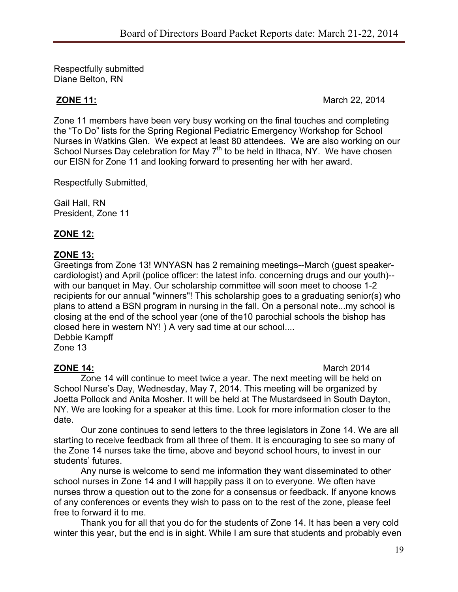Respectfully submitted Diane Belton, RN

**ZONE 11:** March 22, 2014

Zone 11 members have been very busy working on the final touches and completing the "To Do" lists for the Spring Regional Pediatric Emergency Workshop for School Nurses in Watkins Glen. We expect at least 80 attendees. We are also working on our School Nurses Day celebration for May  $7<sup>th</sup>$  to be held in Ithaca, NY. We have chosen our EISN for Zone 11 and looking forward to presenting her with her award.

Respectfully Submitted,

Gail Hall, RN President, Zone 11

# **ZONE 12:**

#### **ZONE 13:**

Greetings from Zone 13! WNYASN has 2 remaining meetings--March (guest speakercardiologist) and April (police officer: the latest info. concerning drugs and our youth)- with our banquet in May. Our scholarship committee will soon meet to choose 1-2 recipients for our annual "winners"! This scholarship goes to a graduating senior(s) who plans to attend a BSN program in nursing in the fall. On a personal note...my school is closing at the end of the school year (one of the10 parochial schools the bishop has closed here in western NY! ) A very sad time at our school.... Debbie Kampff

Zone 13

**ZONE 14:** March 2014

Zone 14 will continue to meet twice a year. The next meeting will be held on School Nurse's Day, Wednesday, May 7, 2014. This meeting will be organized by Joetta Pollock and Anita Mosher. It will be held at The Mustardseed in South Dayton, NY. We are looking for a speaker at this time. Look for more information closer to the date.

Our zone continues to send letters to the three legislators in Zone 14. We are all starting to receive feedback from all three of them. It is encouraging to see so many of the Zone 14 nurses take the time, above and beyond school hours, to invest in our students' futures.

Any nurse is welcome to send me information they want disseminated to other school nurses in Zone 14 and I will happily pass it on to everyone. We often have nurses throw a question out to the zone for a consensus or feedback. If anyone knows of any conferences or events they wish to pass on to the rest of the zone, please feel free to forward it to me.

Thank you for all that you do for the students of Zone 14. It has been a very cold winter this year, but the end is in sight. While I am sure that students and probably even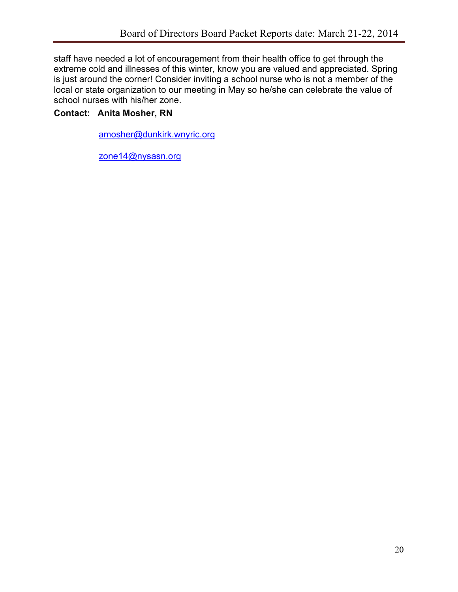staff have needed a lot of encouragement from their health office to get through the extreme cold and illnesses of this winter, know you are valued and appreciated. Spring is just around the corner! Consider inviting a school nurse who is not a member of the local or state organization to our meeting in May so he/she can celebrate the value of school nurses with his/her zone.

# **Contact: Anita Mosher, RN**

amosher@dunkirk.wnyric.org

zone14@nysasn.org